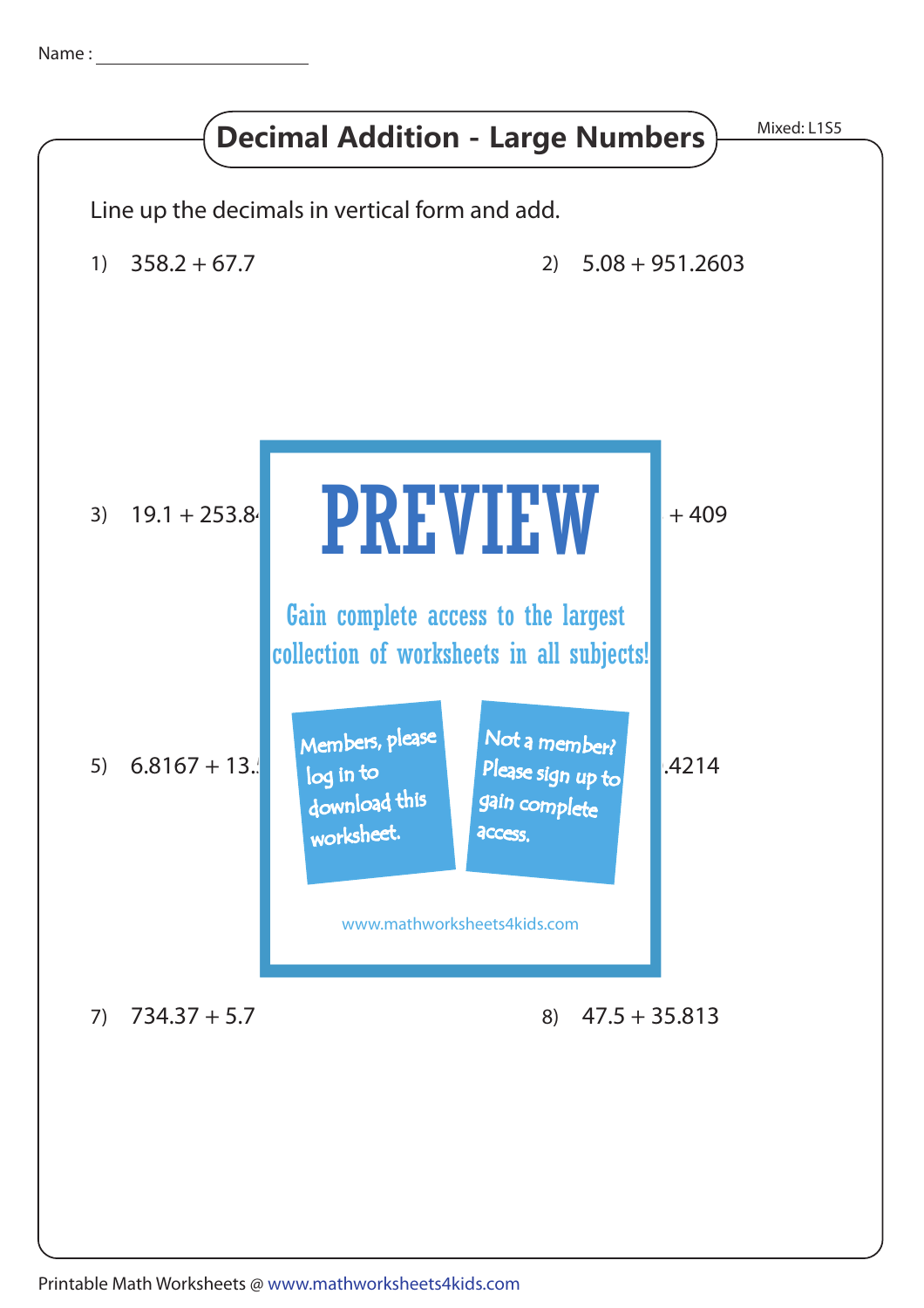